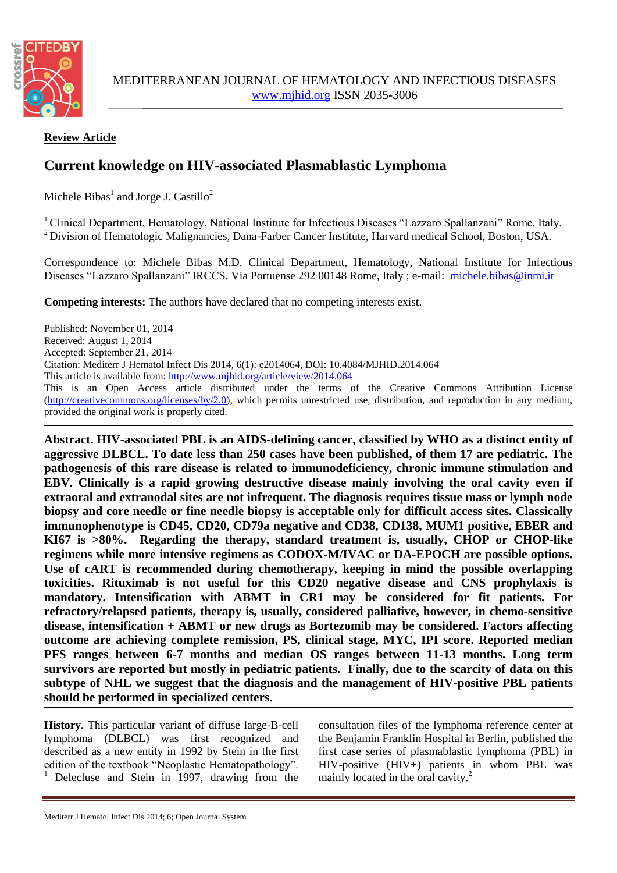

## **Review Article**

# **Current knowledge on HIV-associated Plasmablastic Lymphoma**

Michele Bibas $^1$  and Jorge J. Castillo<sup>2</sup>

<sup>1</sup> Clinical Department, Hematology, National Institute for Infectious Diseases "Lazzaro Spallanzani" Rome, Italy. <sup>2</sup> Division of Hematologic Malignancies, Dana-Farber Cancer Institute, Harvard medical School, Boston, USA.

Correspondence to: Michele Bibas M.D. Clinical Department, Hematology, National Institute for Infectious Diseases "Lazzaro Spallanzani" IRCCS. Via Portuense 292 00148 Rome, Italy ; e-mail: [michele.bibas@inmi.it](mailto:michele.bibas@inmi.it)

**Competing interests:** The authors have declared that no competing interests exist.

Published: November 01, 2014 Received: August 1, 2014 Accepted: September 21, 2014 Citation: Mediterr J Hematol Infect Dis 2014, 6(1): e2014064, DOI: 10.4084/MJHID.2014.064 This article is available from:<http://www.mjhid.org/article/view/2014.064> This is an Open Access article distributed under the terms of the Creative Commons Attribution License [\(http://creativecommons.org/licenses/by/2.0\)](http://creativecommons.org/licenses/by/2.0), which permits unrestricted use, distribution, and reproduction in any medium, provided the original work is properly cited.

**Abstract. HIV-associated PBL is an AIDS-defining cancer, classified by WHO as a distinct entity of aggressive DLBCL. To date less than 250 cases have been published, of them 17 are pediatric. The pathogenesis of this rare disease is related to immunodeficiency, chronic immune stimulation and EBV. Clinically is a rapid growing destructive disease mainly involving the oral cavity even if extraoral and extranodal sites are not infrequent. The diagnosis requires tissue mass or lymph node biopsy and core needle or fine needle biopsy is acceptable only for difficult access sites. Classically immunophenotype is CD45, CD20, CD79a negative and CD38, CD138, MUM1 positive, EBER and KI67 is >80%. Regarding the therapy, standard treatment is, usually, CHOP or CHOP-like regimens while more intensive regimens as CODOX-M/IVAC or DA-EPOCH are possible options. Use of cART is recommended during chemotherapy, keeping in mind the possible overlapping toxicities. Rituximab is not useful for this CD20 negative disease and CNS prophylaxis is mandatory. Intensification with ABMT in CR1 may be considered for fit patients. For refractory/relapsed patients, therapy is, usually, considered palliative, however, in chemo-sensitive disease, intensification + ABMT or new drugs as Bortezomib may be considered. Factors affecting outcome are achieving complete remission, PS, clinical stage, MYC, IPI score. Reported median PFS ranges between 6-7 months and median OS ranges between 11-13 months. Long term survivors are reported but mostly in pediatric patients. Finally, due to the scarcity of data on this subtype of NHL we suggest that the diagnosis and the management of HIV-positive PBL patients should be performed in specialized centers.**

**History.** This particular variant of diffuse large-B-cell lymphoma (DLBCL) was first recognized and described as a new entity in 1992 by Stein in the first edition of the textbook "Neoplastic Hematopathology". Delecluse and Stein in 1997, drawing from the

consultation files of the lymphoma reference center at the Benjamin Franklin Hospital in Berlin, published the first case series of plasmablastic lymphoma (PBL) in HIV-positive (HIV+) patients in whom PBL was mainly located in the oral cavity.<sup>2</sup>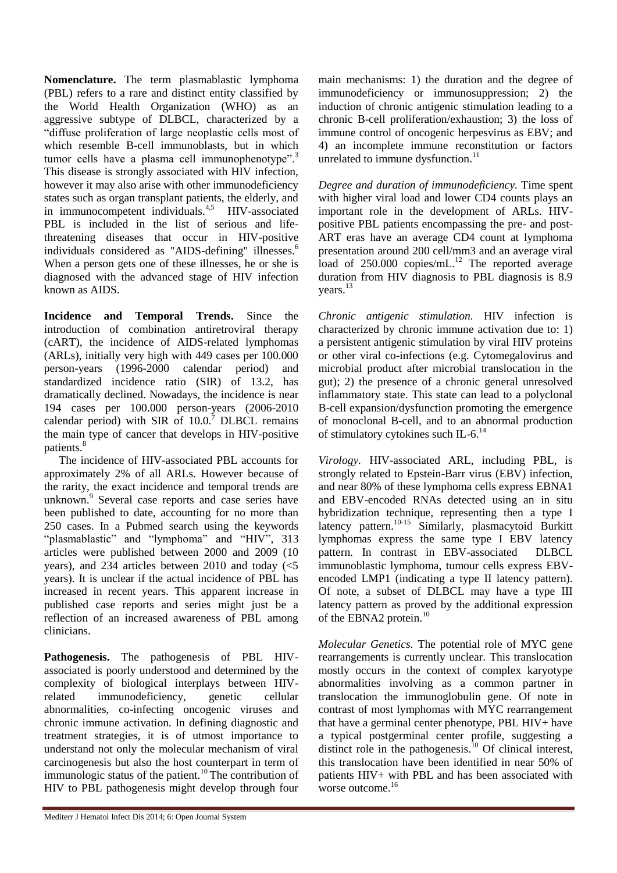**Nomenclature.** The term plasmablastic lymphoma (PBL) refers to a rare and distinct entity classified by the World Health Organization (WHO) as an aggressive subtype of DLBCL, characterized by a "diffuse proliferation of large neoplastic cells most of which resemble B-cell immunoblasts, but in which tumor cells have a plasma cell immunophenotype".<sup>3</sup> This disease is strongly associated with HIV infection, however it may also arise with other immunodeficiency states such as organ transplant patients, the elderly, and in immunocompetent individuals.<sup>4,5</sup> HIV-associated PBL is included in the list of serious and lifethreatening diseases that occur in HIV-positive individuals considered as "AIDS-defining" illnesses.<sup>6</sup> When a person gets one of these illnesses, he or she is diagnosed with the advanced stage of HIV infection known as AIDS.

**Incidence and Temporal Trends.** Since the introduction of combination antiretroviral therapy (cART), the incidence of AIDS-related lymphomas (ARLs), initially very high with 449 cases per 100.000 person-years (1996-2000 calendar period) and standardized incidence ratio (SIR) of 13.2, has dramatically declined. Nowadays, the incidence is near 194 cases per 100.000 person-years (2006-2010 calendar period) with  $SIR$  of  $10.0$ .<sup>7</sup> DLBCL remains the main type of cancer that develops in HIV-positive patients.<sup>8</sup>

The incidence of HIV-associated PBL accounts for approximately 2% of all ARLs. However because of the rarity, the exact incidence and temporal trends are unknown.<sup>9</sup> Several case reports and case series have been published to date, accounting for no more than 250 cases. In a Pubmed search using the keywords "plasmablastic" and "lymphoma" and "HIV", 313 articles were published between 2000 and 2009 (10 years), and 234 articles between 2010 and today (<5 years). It is unclear if the actual incidence of PBL has increased in recent years. This apparent increase in published case reports and series might just be a reflection of an increased awareness of PBL among clinicians.

**Pathogenesis.** The pathogenesis of PBL HIVassociated is poorly understood and determined by the complexity of biological interplays between HIVrelated immunodeficiency, genetic cellular abnormalities, co-infecting oncogenic viruses and chronic immune activation. In defining diagnostic and treatment strategies, it is of utmost importance to understand not only the molecular mechanism of viral carcinogenesis but also the host counterpart in term of immunologic status of the patient.<sup>10</sup> The contribution of HIV to PBL pathogenesis might develop through four

main mechanisms: 1) the duration and the degree of immunodeficiency or immunosuppression; 2) the induction of chronic antigenic stimulation leading to a chronic B-cell proliferation/exhaustion; 3) the loss of immune control of oncogenic herpesvirus as EBV; and 4) an incomplete immune reconstitution or factors unrelated to immune dysfunction. $^{11}$ 

*Degree and duration of immunodeficiency.* Time spent with higher viral load and lower CD4 counts plays an important role in the development of ARLs. HIVpositive PBL patients encompassing the pre- and post-ART eras have an average CD4 count at lymphoma presentation around 200 cell/mm3 and an average viral load of 250.000 copies/mL.<sup>12</sup> The reported average duration from HIV diagnosis to PBL diagnosis is 8.9 years.<sup>13</sup>

*Chronic antigenic stimulation.* HIV infection is characterized by chronic immune activation due to: 1) a persistent antigenic stimulation by viral HIV proteins or other viral co-infections (e.g. Cytomegalovirus and microbial product after microbial translocation in the gut); 2) the presence of a chronic general unresolved inflammatory state. This state can lead to a polyclonal B-cell expansion/dysfunction promoting the emergence of monoclonal B-cell, and to an abnormal production of stimulatory cytokines such IL-6. $^{14}$ 

*Virology.* HIV-associated ARL, including PBL, is strongly related to Epstein-Barr virus (EBV) infection, and near 80% of these lymphoma cells express EBNA1 and EBV-encoded RNAs detected using an in situ hybridization technique, representing then a type I latency pattern.<sup>10-15</sup> Similarly, plasmacytoid Burkitt lymphomas express the same type I EBV latency pattern. In contrast in EBV-associated DLBCL immunoblastic lymphoma, tumour cells express EBVencoded LMP1 (indicating a type II latency pattern). Of note, a subset of DLBCL may have a type III latency pattern as proved by the additional expression of the EBNA2 protein.<sup>10</sup>

*Molecular Genetics.* The potential role of MYC gene rearrangements is currently unclear. This translocation mostly occurs in the context of complex karyotype abnormalities involving as a common partner in translocation the immunoglobulin gene. Of note in contrast of most lymphomas with MYC rearrangement that have a germinal center phenotype, PBL HIV+ have a typical postgerminal center profile, suggesting a distinct role in the pathogenesis.<sup>10</sup> Of clinical interest, this translocation have been identified in near 50% of patients HIV+ with PBL and has been associated with worse outcome.<sup>16</sup>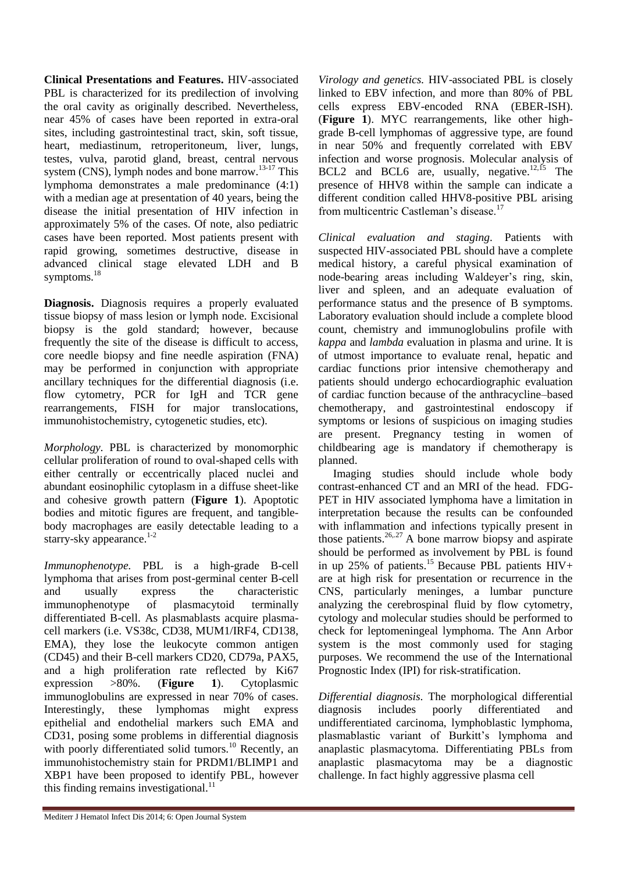**Clinical Presentations and Features.** HIV-associated PBL is characterized for its predilection of involving the oral cavity as originally described. Nevertheless, near 45% of cases have been reported in extra-oral sites, including gastrointestinal tract, skin, soft tissue, heart, mediastinum, retroperitoneum, liver, lungs, testes, vulva, parotid gland, breast, central nervous system (CNS), lymph nodes and bone marrow.<sup>13-17</sup> This lymphoma demonstrates a male predominance (4:1) with a median age at presentation of 40 years, being the disease the initial presentation of HIV infection in approximately 5% of the cases. Of note, also pediatric cases have been reported. Most patients present with rapid growing, sometimes destructive, disease in advanced clinical stage elevated LDH and B symptoms.<sup>18</sup>

**Diagnosis.** Diagnosis requires a properly evaluated tissue biopsy of mass lesion or lymph node. Excisional biopsy is the gold standard; however, because frequently the site of the disease is difficult to access, core needle biopsy and fine needle aspiration (FNA) may be performed in conjunction with appropriate ancillary techniques for the differential diagnosis (i.e. flow cytometry, PCR for IgH and TCR gene rearrangements, FISH for major translocations, immunohistochemistry, cytogenetic studies, etc).

*Morphology.* PBL is characterized by monomorphic cellular proliferation of round to oval-shaped cells with either centrally or eccentrically placed nuclei and abundant eosinophilic cytoplasm in a diffuse sheet-like and cohesive growth pattern (**Figure 1**). Apoptotic bodies and mitotic figures are frequent, and tangiblebody macrophages are easily detectable leading to a starry-sky appearance. $1-2$ 

*Immunophenotype.* PBL is a high-grade B-cell lymphoma that arises from post-germinal center B-cell and usually express the characteristic immunophenotype of plasmacytoid terminally differentiated B-cell. As plasmablasts acquire plasmacell markers (i.e. VS38c, CD38, MUM1/IRF4, CD138, EMA), they lose the leukocyte common antigen (CD45) and their B-cell markers CD20, CD79a, PAX5, and a high proliferation rate reflected by Ki67 expression >80%. (**Figure 1**). Cytoplasmic immunoglobulins are expressed in near 70% of cases. Interestingly, these lymphomas might express epithelial and endothelial markers such EMA and CD31, posing some problems in differential diagnosis with poorly differentiated solid tumors.<sup>10</sup> Recently, an immunohistochemistry stain for PRDM1/BLIMP1 and XBP1 have been proposed to identify PBL, however this finding remains investigational. $^{11}$ 

*Virology and genetics.* HIV-associated PBL is closely linked to EBV infection, and more than 80% of PBL cells express EBV-encoded RNA (EBER-ISH). (**Figure 1**). MYC rearrangements, like other highgrade B-cell lymphomas of aggressive type, are found in near 50% and frequently correlated with EBV infection and worse prognosis. Molecular analysis of BCL2 and BCL6 are, usually, negative.<sup>12,15</sup> The presence of HHV8 within the sample can indicate a different condition called HHV8-positive PBL arising from multicentric Castleman's disease.<sup>17</sup>

*Clinical evaluation and staging.* Patients with suspected HIV-associated PBL should have a complete medical history, a careful physical examination of node-bearing areas including Waldeyer's ring, skin, liver and spleen, and an adequate evaluation of performance status and the presence of B symptoms. Laboratory evaluation should include a complete blood count, chemistry and immunoglobulins profile with *kappa* and *lambda* evaluation in plasma and urine. It is of utmost importance to evaluate renal, hepatic and cardiac functions prior intensive chemotherapy and patients should undergo echocardiographic evaluation of cardiac function because of the anthracycline–based chemotherapy, and gastrointestinal endoscopy if symptoms or lesions of suspicious on imaging studies are present. Pregnancy testing in women of childbearing age is mandatory if chemotherapy is planned.

Imaging studies should include whole body contrast-enhanced CT and an MRI of the head. FDG-PET in HIV associated lymphoma have a limitation in interpretation because the results can be confounded with inflammation and infections typically present in those patients.<sup>26,,27</sup> A bone marrow biopsy and aspirate should be performed as involvement by PBL is found in up 25% of patients.<sup>15</sup> Because PBL patients  $HIV+$ are at high risk for presentation or recurrence in the CNS, particularly meninges, a lumbar puncture analyzing the cerebrospinal fluid by flow cytometry, cytology and molecular studies should be performed to check for leptomeningeal lymphoma. The Ann Arbor system is the most commonly used for staging purposes. We recommend the use of the International Prognostic Index (IPI) for risk-stratification.

*Differential diagnosis.* The morphological differential diagnosis includes poorly differentiated and undifferentiated carcinoma, lymphoblastic lymphoma, plasmablastic variant of Burkitt's lymphoma and anaplastic plasmacytoma. Differentiating PBLs from anaplastic plasmacytoma may be a diagnostic challenge. In fact highly aggressive plasma cell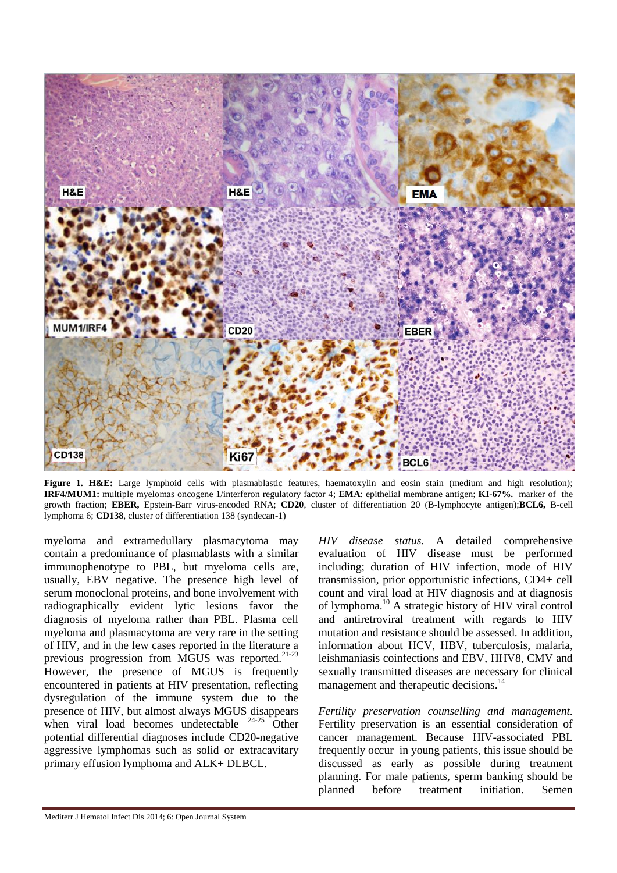

Figure 1. H&E: Large lymphoid cells with plasmablastic features, haematoxylin and eosin stain (medium and high resolution); **IRF4/MUM1:** multiple myelomas oncogene 1/interferon regulatory factor 4; **EMA**: epithelial membrane antigen; **KI-67%.** marker of the growth fraction; **EBER,** Epstein-Barr virus-encoded RNA; **CD20**, cluster of differentiation 20 (B-lymphocyte antigen);**BCL6,** B-cell lymphoma 6; **CD138**, cluster of differentiation 138 (syndecan-1)

myeloma and extramedullary plasmacytoma may contain a predominance of plasmablasts with a similar immunophenotype to PBL, but myeloma cells are, usually, EBV negative. The presence high level of serum monoclonal proteins, and bone involvement with radiographically evident lytic lesions favor the diagnosis of myeloma rather than PBL. Plasma cell myeloma and plasmacytoma are very rare in the setting of HIV, and in the few cases reported in the literature a previous progression from MGUS was reported.<sup>21-23</sup> However, the presence of MGUS is frequently encountered in patients at HIV presentation, reflecting dysregulation of the immune system due to the presence of HIV, but almost always MGUS disappears when viral load becomes undetectable.  $24-25$  Other potential differential diagnoses include CD20-negative aggressive lymphomas such as solid or extracavitary primary effusion lymphoma and ALK+ DLBCL.

*HIV disease status.* A detailed comprehensive evaluation of HIV disease must be performed including; duration of HIV infection, mode of HIV transmission, prior opportunistic infections, CD4+ cell count and viral load at HIV diagnosis and at diagnosis of lymphoma.<sup>10</sup> A strategic history of HIV viral control and antiretroviral treatment with regards to HIV mutation and resistance should be assessed. In addition, information about HCV, HBV, tuberculosis, malaria, leishmaniasis coinfections and EBV, HHV8, CMV and sexually transmitted diseases are necessary for clinical management and therapeutic decisions.<sup>14</sup>

*Fertility preservation counselling and management.*  Fertility preservation is an essential consideration of cancer management. Because HIV-associated PBL frequently occur in young patients, this issue should be discussed as early as possible during treatment planning. For male patients, sperm banking should be planned before treatment initiation. Semen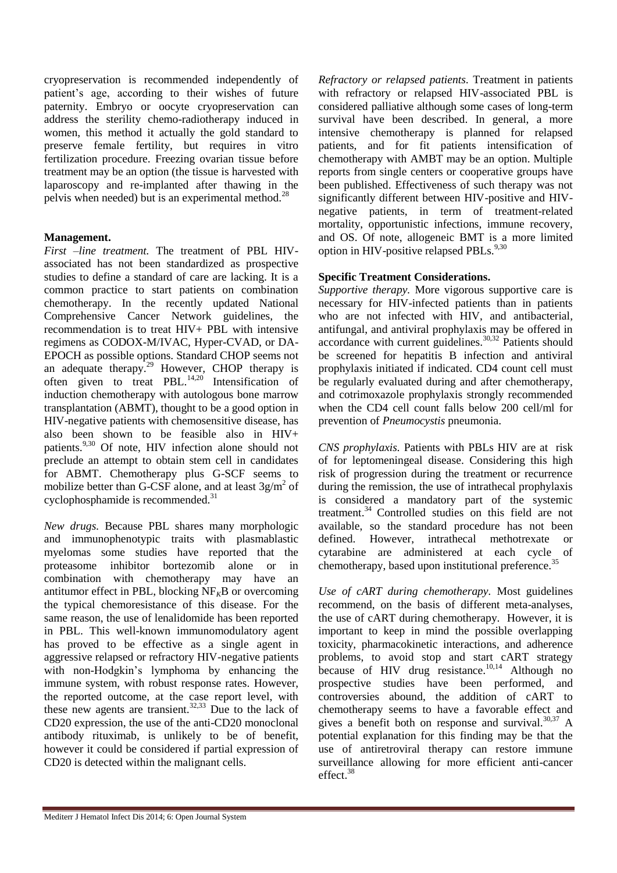cryopreservation is recommended independently of patient's age, according to their wishes of future paternity. Embryo or oocyte cryopreservation can address the sterility chemo-radiotherapy induced in women, this method it actually the gold standard to preserve female fertility, but requires in vitro fertilization procedure. Freezing ovarian tissue before treatment may be an option (the tissue is harvested with laparoscopy and re-implanted after thawing in the pelvis when needed) but is an experimental method.<sup>28</sup>

### **Management.**

*First –line treatment.* The treatment of PBL HIVassociated has not been standardized as prospective studies to define a standard of care are lacking. It is a common practice to start patients on combination chemotherapy. In the recently updated National Comprehensive Cancer Network guidelines, the recommendation is to treat HIV+ PBL with intensive regimens as CODOX-M/IVAC, Hyper-CVAD, or DA-EPOCH as possible options. Standard CHOP seems not an adequate therapy.<sup>29</sup> However, CHOP therapy is often given to treat PBL. $^{14,20}$  Intensification of induction chemotherapy with autologous bone marrow transplantation (ABMT), thought to be a good option in HIV-negative patients with chemosensitive disease, has also been shown to be feasible also in HIV+ patients.<sup>9,30</sup> Of note, HIV infection alone should not preclude an attempt to obtain stem cell in candidates for ABMT. Chemotherapy plus G-SCF seems to mobilize better than G-CSF alone, and at least  $3g/m^2$  of cyclophosphamide is recommended.<sup>31</sup>

*New drugs.* Because PBL shares many morphologic and immunophenotypic traits with plasmablastic myelomas some studies have reported that the proteasome inhibitor bortezomib alone or in combination with chemotherapy may have an antitumor effect in PBL, blocking  $NF<sub>K</sub>B$  or overcoming the typical chemoresistance of this disease. For the same reason, the use of lenalidomide has been reported in PBL. This well-known immunomodulatory agent has proved to be effective as a single agent in aggressive relapsed or refractory HIV-negative patients with non-Hodgkin's lymphoma by enhancing the immune system, with robust response rates. However, the reported outcome, at the case report level, with these new agents are transient.<sup>32,33</sup> Due to the lack of CD20 expression, the use of the anti-CD20 monoclonal antibody rituximab, is unlikely to be of benefit, however it could be considered if partial expression of CD20 is detected within the malignant cells.

*Refractory or relapsed patients.* Treatment in patients with refractory or relapsed HIV-associated PBL is considered palliative although some cases of long-term survival have been described. In general, a more intensive chemotherapy is planned for relapsed patients, and for fit patients intensification of chemotherapy with AMBT may be an option. Multiple reports from single centers or cooperative groups have been published. Effectiveness of such therapy was not significantly different between HIV-positive and HIVnegative patients, in term of treatment-related mortality, opportunistic infections, immune recovery, and OS. Of note, allogeneic BMT is a more limited option in HIV-positive relapsed PBLs.<sup>9,30</sup>

#### **Specific Treatment Considerations.**

*Supportive therapy.* More vigorous supportive care is necessary for HIV-infected patients than in patients who are not infected with HIV, and antibacterial, antifungal, and antiviral prophylaxis may be offered in accordance with current guidelines.<sup>30,32</sup> Patients should be screened for hepatitis B infection and antiviral prophylaxis initiated if indicated. CD4 count cell must be regularly evaluated during and after chemotherapy, and cotrimoxazole prophylaxis strongly recommended when the CD4 cell count falls below 200 cell/ml for prevention of *Pneumocystis* pneumonia.

*CNS prophylaxis.* Patients with PBLs HIV are at risk of for leptomeningeal disease. Considering this high risk of progression during the treatment or recurrence during the remission, the use of intrathecal prophylaxis is considered a mandatory part of the systemic treatment.<sup>34</sup> Controlled studies on this field are not available, so the standard procedure has not been defined. However, intrathecal methotrexate or cytarabine are administered at each cycle of chemotherapy, based upon institutional preference.<sup>35</sup>

*Use of cART during chemotherapy.* Most guidelines recommend, on the basis of different meta-analyses, the use of cART during chemotherapy. However, it is important to keep in mind the possible overlapping toxicity, pharmacokinetic interactions, and adherence problems, to avoid stop and start cART strategy because of HIV drug resistance.<sup>10,14</sup> Although no prospective studies have been performed, and controversies abound, the addition of cART to chemotherapy seems to have a favorable effect and gives a benefit both on response and survival.  $30,37$  A potential explanation for this finding may be that the use of antiretroviral therapy can restore immune surveillance allowing for more efficient anti-cancer effect.<sup>38</sup>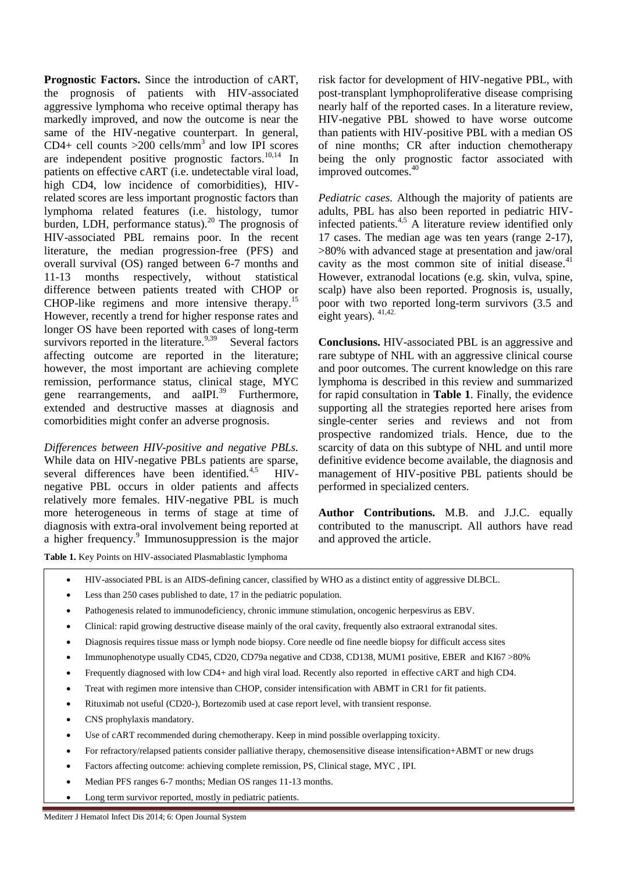**Prognostic Factors.** Since the introduction of cART, the prognosis of patients with HIV-associated aggressive lymphoma who receive optimal therapy has markedly improved, and now the outcome is near the same of the HIV-negative counterpart. In general, CD4+ cell counts  $>200$  cells/mm<sup>3</sup> and low IPI scores are independent positive prognostic factors. $10,14$  In patients on effective cART (i.e. undetectable viral load, high CD4, low incidence of comorbidities), HIVrelated scores are less important prognostic factors than lymphoma related features (i.e. histology, tumor burden, LDH, performance status).<sup>20</sup> The prognosis of HIV-associated PBL remains poor. In the recent literature, the median progression-free (PFS) and overall survival (OS) ranged between 6-7 months and 11-13 months respectively, without statistical difference between patients treated with CHOP or CHOP-like regimens and more intensive therapy.<sup>15</sup> However, recently a trend for higher response rates and longer OS have been reported with cases of long-term survivors reported in the literature.  $9,39$  Several factors affecting outcome are reported in the literature; however, the most important are achieving complete remission, performance status, clinical stage, MYC gene rearrangements, and aaIPI.<sup>39</sup> Furthermore, extended and destructive masses at diagnosis and comorbidities might confer an adverse prognosis.

*Differences between HIV-positive and negative PBLs.* While data on HIV-negative PBLs patients are sparse, several differences have been identified.<sup>4,5</sup> HIVnegative PBL occurs in older patients and affects relatively more females. HIV-negative PBL is much more heterogeneous in terms of stage at time of diagnosis with extra-oral involvement being reported at a higher frequency.<sup>9</sup> Immunosuppression is the major risk factor for development of HIV-negative PBL, with post-transplant lymphoproliferative disease comprising nearly half of the reported cases. In a literature review, HIV-negative PBL showed to have worse outcome than patients with HIV-positive PBL with a median OS of nine months; CR after induction chemotherapy being the only prognostic factor associated with improved outcomes.<sup>40</sup>

*Pediatric cases.* Although the majority of patients are adults, PBL has also been reported in pediatric HIVinfected patients.4,5 A literature review identified only 17 cases. The median age was ten years (range 2-17), >80% with advanced stage at presentation and jaw/oral cavity as the most common site of initial disease.<sup>41</sup> However, extranodal locations (e.g. skin, vulva, spine, scalp) have also been reported. Prognosis is, usually, poor with two reported long-term survivors (3.5 and eight years).  $41,42$ .

**Conclusions.** HIV-associated PBL is an aggressive and rare subtype of NHL with an aggressive clinical course and poor outcomes. The current knowledge on this rare lymphoma is described in this review and summarized for rapid consultation in **Table 1**. Finally, the evidence supporting all the strategies reported here arises from single-center series and reviews and not from prospective randomized trials. Hence, due to the scarcity of data on this subtype of NHL and until more definitive evidence become available, the diagnosis and management of HIV-positive PBL patients should be performed in specialized centers.

**Author Contributions.** M.B. and J.J.C. equally contributed to the manuscript. All authors have read and approved the article.

**Table 1.** Key Points on HIV-associated Plasmablastic lymphoma

- HIV-associated PBL is an AIDS-defining cancer, classified by WHO as a distinct entity of aggressive DLBCL.
- Less than 250 cases published to date, 17 in the pediatric population.
- Pathogenesis related to immunodeficiency, chronic immune stimulation, oncogenic herpesvirus as EBV.
- Clinical: rapid growing destructive disease mainly of the oral cavity, frequently also extraoral extranodal sites.
- Diagnosis requires tissue mass or lymph node biopsy. Core needle od fine needle biopsy for difficult access sites
- Immunophenotype usually CD45, CD20, CD79a negative and CD38, CD138, MUM1 positive, EBER and KI67 >80%
- Frequently diagnosed with low CD4+ and high viral load. Recently also reported in effective cART and high CD4.
- Treat with regimen more intensive than CHOP, consider intensification with ABMT in CR1 for fit patients.
- Rituximab not useful (CD20-), Bortezomib used at case report level, with transient response.
- CNS prophylaxis mandatory.
- Use of cART recommended during chemotherapy. Keep in mind possible overlapping toxicity.
- For refractory/relapsed patients consider palliative therapy, chemosensitive disease intensification+ABMT or new drugs
- Factors affecting outcome: achieving complete remission, PS, Clinical stage, MYC , IPI.
- Median PFS ranges 6-7 months; Median OS ranges 11-13 months.
- Long term survivor reported, mostly in pediatric patients.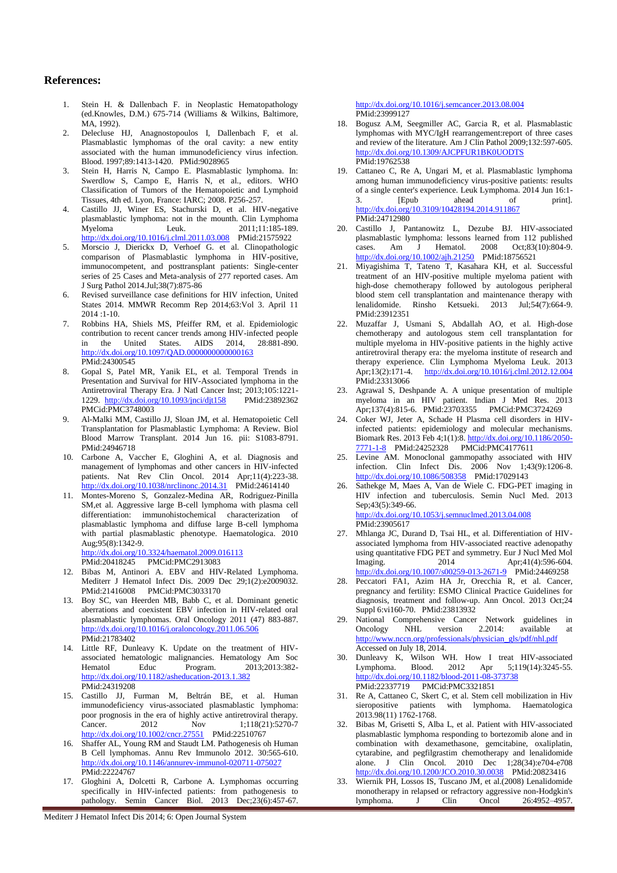#### **References:**

- 1. Stein H. & Dallenbach F. in Neoplastic Hematopathology (ed.Knowles, D.M.) 675-714 (Williams & Wilkins, Baltimore,  $MA$ , 1992).
- 2. Delecluse HJ, Anagnostopoulos I, Dallenbach F, et al. Plasmablastic lymphomas of the oral cavity: a new entity associated with the human immunodeficiency virus infection. Blood. 1997;89:1413-1420. PMid:9028965
- Stein H, Harris N, Campo E. Plasmablastic lymphoma. In: Swerdlow S, Campo E, Harris N, et al., editors. WHO Classification of Tumors of the Hematopoietic and Lymphoid Tissues, 4th ed. Lyon, France: IARC; 2008. P256-257.
- 4. Castillo JJ, Winer ES, Stachurski D, et al. HIV-negative plasmablastic lymphoma: not in the mounth. Clin Lymphoma Myeloma Leuk. 2011;11:185-189. <http://dx.doi.org/10.1016/j.clml.2011.03.008>PMid:21575922
- 5. Morscio J, Dierickx D, Verhoef G. et al. Clinopathologic comparison of Plasmablastic lymphoma in HIV-positive, immunocompetent, and posttransplant patients: Single-center series of 25 Cases and Meta-analysis of 277 reported cases. Am J Surg Pathol 2014.Jul;38(7):875-86
- 6. Revised surveillance case definitions for HIV infection, United States 2014. MMWR Recomm Rep 2014;63:Vol 3. April 11 2014 :1-10.
- 7. Robbins HA, Shiels MS, Pfeiffer RM, et al. Epidemiologic contribution to recent cancer trends among HIV-infected people in the United States. AIDS 2014, 28:881-890. <http://dx.doi.org/10.1097/QAD.0000000000000163> PMid:24300545
- 8. Gopal S, Patel MR, Yanik EL, et al. Temporal Trends in Presentation and Survival for HIV-Associated lymphoma in the Antiretroviral Therapy Era. J Natl Cancer Inst; 2013;105:1221 1229. <http://dx.doi.org/10.1093/jnci/djt158>PMid:23892362 PMCid:PMC3748003
- 9. Al-Malki MM, Castillo JJ, Sloan JM, et al. Hematopoietic Cell Transplantation for Plasmablastic Lymphoma: A Review. Biol Blood Marrow Transplant. 2014 Jun 16. pii: S1083-8791. PMid:24946718
- 10. Carbone A, Vaccher E, Gloghini A, et al. Diagnosis and management of lymphomas and other cancers in HIV-infected patients. Nat Rev Clin Oncol. 2014 Apr;11(4):223-38. <http://dx.doi.org/10.1038/nrclinonc.2014.31> PMid:24614140
- 11. Montes-Moreno S, Gonzalez-Medina AR, Rodriguez-Pinilla SM,et al. Aggressive large B-cell lymphoma with plasma cell differentiation: immunohistochemical characterization of plasmablastic lymphoma and diffuse large B-cell lymphoma with partial plasmablastic phenotype. Haematologica. 2010 Aug: 95(8): 1342-9. <http://dx.doi.org/10.3324/haematol.2009.016113>

PMid:20418245 PMCid:PMC2913083

- 12. Bibas M, Antinori A. EBV and HIV-Related Lymphoma. Mediterr J Hematol Infect Dis. 2009 Dec 29;1(2):e2009032. PMid:21416008 PMCid:PMC3033170
- 13. Boy SC, van Heerden MB, Babb C, et al. Dominant genetic aberrations and coexistent EBV infection in HIV-related oral plasmablastic lymphomas. Oral Oncology 2011 (47) 883-887. <http://dx.doi.org/10.1016/j.oraloncology.2011.06.506> PMid:21783402
- 14. Little RF, Dunleavy K. Update on the treatment of HIVassociated hematologic malignancies. Hematology Am Soc Hematol Educ Program. 2013;2013:382 <http://dx.doi.org/10.1182/asheducation-2013.1.382> PMid:24319208
- 15. Castillo JJ, Furman M, Beltrán BE, et al. Human immunodeficiency virus-associated plasmablastic lymphoma: poor prognosis in the era of highly active antiretroviral therapy. Cancer. 2012 Nov 1;118(21):5270-7 <http://dx.doi.org/10.1002/cncr.27551> PMid:22510767
- 16. Shaffer AL, Young RM and Staudt LM. Pathogenesis oh Human B Cell lymphomas. Annu Rev Immunolo 2012. 30:565-610. <http://dx.doi.org/10.1146/annurev-immunol-020711-075027> PMid:22224767
- 17. Gloghini A, Dolcetti R, Carbone A. Lymphomas occurring specifically in HIV-infected patients: from pathogenesis to pathology. Semin Cancer Biol. 2013 Dec;23(6):457-67.

Mediterr J Hematol Infect Dis 2014; 6: Open Journal System

<http://dx.doi.org/10.1016/j.semcancer.2013.08.004> PMid:23999127

- 18. Bogusz A.M, Seegmiller AC, Garcia R, et al. Plasmablastic lymphomas with MYC/IgH rearrangement:report of three cases and review of the literature. Am J Clin Pathol 2009;132:597-605. <http://dx.doi.org/10.1309/AJCPFUR1BK0UODTS> PMid:19762538
- 19. Cattaneo C, Re A, Ungari M, et al. Plasmablastic lymphoma among human immunodeficiency virus-positive patients: results of a single center's experience. Leuk Lymphoma. 2014 Jun 16:1- 3. [Epub ahead of print]. <http://dx.doi.org/10.3109/10428194.2014.911867> PMid:24712980
- 20. Castillo J, Pantanowitz L, Dezube BJ. HIV-associated plasmablastic lymphoma: lessons learned from 112 published cases. Am J Hematol. 2008 Oct;83(10):804-9. <http://dx.doi.org/10.1002/ajh.21250>PMid:18756521
- 21. Miyagishima T, Tateno T, Kasahara KH, et al. Successful treatment of an HIV-positive multiple myeloma patient with high-dose chemotherapy followed by autologous peripheral blood stem cell transplantation and maintenance therapy with lenalidomide. Rinsho Ketsueki. 2013 Jul;54(7):664-9. PMid:23912351
- 22. Muzaffar J, Usmani S, Abdallah AO, et al. High-dose chemotherapy and autologous stem cell transplantation for multiple myeloma in HIV-positive patients in the highly active antiretroviral therapy era: the myeloma institute of research and therapy experience. Clin Lymphoma Myeloma Leuk. 2013 Apr;13(2):171-4. <http://dx.doi.org/10.1016/j.clml.2012.12.004> PMid:23313066
- 23. Agrawal S, Deshpande A. A unique presentation of multiple myeloma in an HIV patient. Indian J Med Res. 2013 Apr;137(4):815-6. PMid:23703355 PMCid:PMC3724269
- 24. Coker WJ, Jeter A, Schade H Plasma cell disorders in HIVinfected patients: epidemiology and molecular mechanisms. Biomark Res. 2013 Feb 4;1(1):8[. http://dx.doi.org/10.1186/2050-](http://dx.doi.org/10.1186/2050-7771-1-8) [7771-1-8](http://dx.doi.org/10.1186/2050-7771-1-8) PMid:24252328 PMCid:PMC4177611
- 25. Levine AM. Monoclonal gammopathy associated with HIV infection. Clin Infect Dis. 2006 Nov 1;43(9):1206-8. <http://dx.doi.org/10.1086/508358>PMid:17029143
- Sathekge M, Maes A, Van de Wiele C. FDG-PET imaging in HIV infection and tuberculosis. Semin Nucl Med. 2013 Sep; 43(5): 349-66. <http://dx.doi.org/10.1053/j.semnuclmed.2013.04.008> PMid:23905617
- 27. Mhlanga JC, Durand D, Tsai HL, et al. Differentiation of HIVassociated lymphoma from HIV-associated reactive adenopathy using quantitative FDG PET and symmetry. Eur J Nucl Med Mol<br>Imaging. 2014 Apr:41(4):596-604. Imaging. 2014 Apr;41(4):596-604. <http://dx.doi.org/10.1007/s00259-013-2671-9> PMid:24469258
- 28. Peccatori FA1, Azim HA Jr, Orecchia R, et al. Cancer, pregnancy and fertility: ESMO Clinical Practice Guidelines for diagnosis, treatment and follow-up. Ann Oncol. 2013 Oct;24 Suppl 6:vi160-70. PMid:23813932
- 29. National Comprehensive Cancer Network guidelines in<br>Oncology NHL version 2.2014: available at Oncology NHL version 2.2014: available at [http://www.nccn.org/professionals/physician\\_gls/pdf/nhl.pdf](http://www.nccn.org/professionals/physician_gls/pdf/nhl.pdf) Accessed on July 18, 2014.
- 30. Dunleavy K, Wilson WH. How I treat HIV-associated Lymphoma. Blood. 2012 Apr 5;119(14):3245-55. <http://dx.doi.org/10.1182/blood-2011-08-373738> PMid:22337719 PMCid:PMC3321851
- 31. Re A, Cattaneo C, Skert C, et al. Stem cell mobilization in Hiv sieropositive patients with lymphoma. Haematologica 2013.98(11) 1762-1768.
- 32. Bibas M, Grisetti S, Alba L, et al. Patient with HIV-associated plasmablastic lymphoma responding to bortezomib alone and in combination with dexamethasone, gemcitabine, oxaliplatin, cytarabine, and pegfilgrastim chemotherapy and lenalidomide alone. J Clin Oncol. 2010 Dec 1;28(34):e704-e708 <http://dx.doi.org/10.1200/JCO.2010.30.0038> PMid:20823416
- 33. Wiernik PH, Lossos IS, Tuscano JM, et al.(2008) Lenalidomide monotherapy in relapsed or refractory aggressive non-Hodgkin's lymphoma. J Clin Oncol 26:4952–4957.